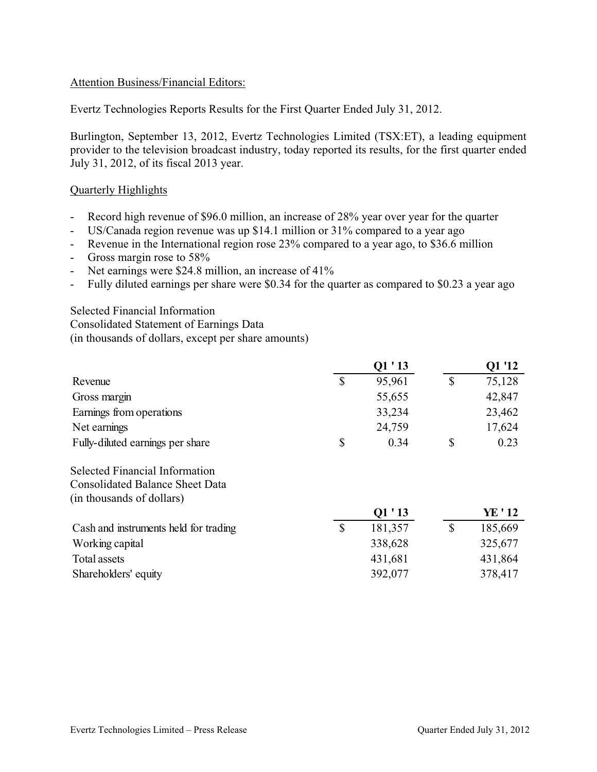### Attention Business/Financial Editors:

Evertz Technologies Reports Results for the First Quarter Ended July 31, 2012.

Burlington, September 13, 2012, Evertz Technologies Limited (TSX:ET), a leading equipment provider to the television broadcast industry, today reported its results, for the first quarter ended July 31, 2012, of its fiscal 2013 year.

#### Quarterly Highlights

- Record high revenue of \$96.0 million, an increase of 28% year over year for the quarter
- US/Canada region revenue was up \$14.1 million or 31% compared to a year ago
- Revenue in the International region rose 23% compared to a year ago, to \$36.6 million
- Gross margin rose to 58%
- Net earnings were \$24.8 million, an increase of 41%
- Fully diluted earnings per share were \$0.34 for the quarter as compared to \$0.23 a year ago

Selected Financial Information Consolidated Statement of Earnings Data (in thousands of dollars, except per share amounts)

|                                        |              | Q1'13   |               | Q1 '12  |
|----------------------------------------|--------------|---------|---------------|---------|
| Revenue                                | $\mathbb{S}$ | 95,961  | $\mathcal{S}$ | 75,128  |
| Gross margin                           |              | 55,655  |               | 42,847  |
| Earnings from operations               |              | 33,234  |               | 23,462  |
| Net earnings                           |              | 24,759  |               | 17,624  |
| Fully-diluted earnings per share       | \$           | 0.34    | \$            | 0.23    |
| <b>Selected Financial Information</b>  |              |         |               |         |
| <b>Consolidated Balance Sheet Data</b> |              |         |               |         |
| (in thousands of dollars)              |              |         |               |         |
|                                        |              | Q1'13   |               | YE ' 12 |
| Cash and instruments held for trading  | $\mathbb{S}$ | 181,357 | $\mathcal{S}$ | 185,669 |
| Working capital                        |              | 338,628 |               | 325,677 |
| Total assets                           |              | 431,681 |               | 431,864 |
| Shareholders' equity                   |              | 392,077 |               | 378,417 |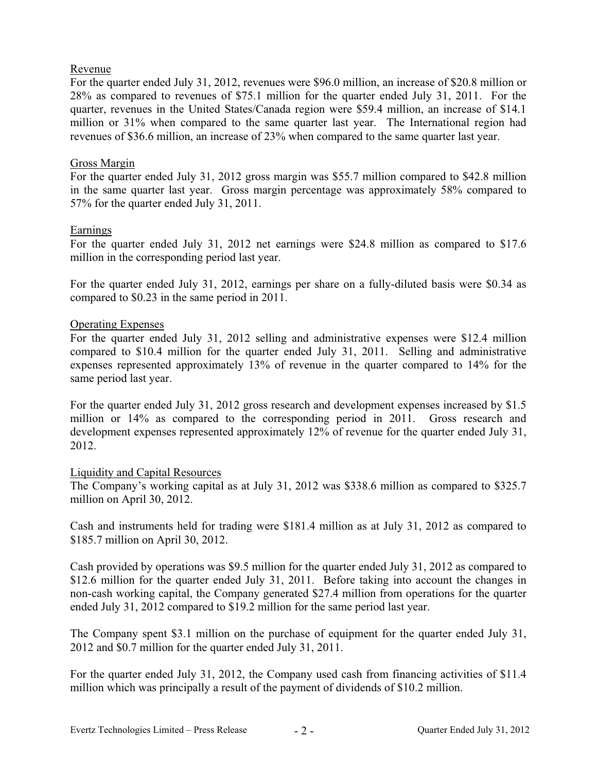## Revenue

For the quarter ended July 31, 2012, revenues were \$96.0 million, an increase of \$20.8 million or 28% as compared to revenues of \$75.1 million for the quarter ended July 31, 2011. For the quarter, revenues in the United States/Canada region were \$59.4 million, an increase of \$14.1 million or 31% when compared to the same quarter last year. The International region had revenues of \$36.6 million, an increase of 23% when compared to the same quarter last year.

## Gross Margin

For the quarter ended July 31, 2012 gross margin was \$55.7 million compared to \$42.8 million in the same quarter last year. Gross margin percentage was approximately 58% compared to 57% for the quarter ended July 31, 2011.

#### Earnings

For the quarter ended July 31, 2012 net earnings were \$24.8 million as compared to \$17.6 million in the corresponding period last year.

For the quarter ended July 31, 2012, earnings per share on a fully-diluted basis were \$0.34 as compared to \$0.23 in the same period in 2011.

#### Operating Expenses

For the quarter ended July 31, 2012 selling and administrative expenses were \$12.4 million compared to \$10.4 million for the quarter ended July 31, 2011. Selling and administrative expenses represented approximately 13% of revenue in the quarter compared to 14% for the same period last year.

For the quarter ended July 31, 2012 gross research and development expenses increased by \$1.5 million or 14% as compared to the corresponding period in 2011. Gross research and development expenses represented approximately 12% of revenue for the quarter ended July 31, 2012.

#### Liquidity and Capital Resources

The Company's working capital as at July 31, 2012 was \$338.6 million as compared to \$325.7 million on April 30, 2012.

Cash and instruments held for trading were \$181.4 million as at July 31, 2012 as compared to \$185.7 million on April 30, 2012.

Cash provided by operations was \$9.5 million for the quarter ended July 31, 2012 as compared to \$12.6 million for the quarter ended July 31, 2011. Before taking into account the changes in non-cash working capital, the Company generated \$27.4 million from operations for the quarter ended July 31, 2012 compared to \$19.2 million for the same period last year.

The Company spent \$3.1 million on the purchase of equipment for the quarter ended July 31, 2012 and \$0.7 million for the quarter ended July 31, 2011.

For the quarter ended July 31, 2012, the Company used cash from financing activities of \$11.4 million which was principally a result of the payment of dividends of \$10.2 million.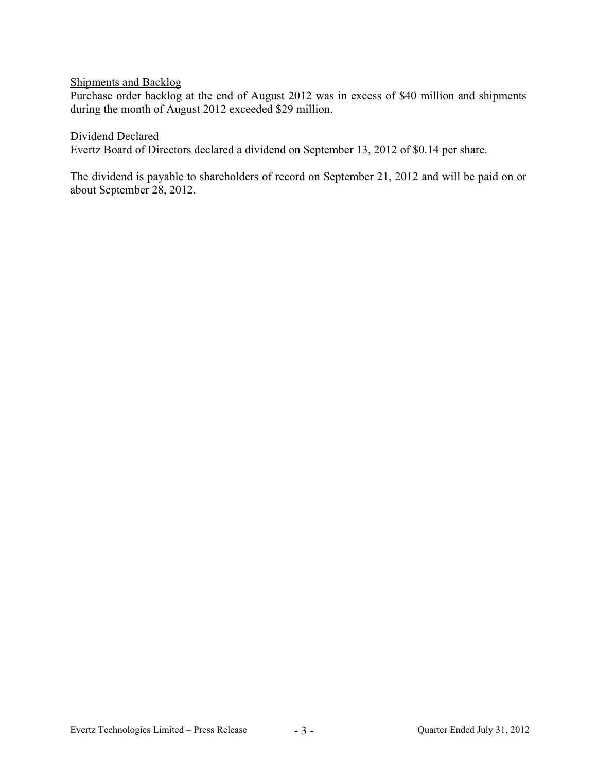## Shipments and Backlog

Purchase order backlog at the end of August 2012 was in excess of \$40 million and shipments during the month of August 2012 exceeded \$29 million.

#### Dividend Declared

Evertz Board of Directors declared a dividend on September 13, 2012 of \$0.14 per share.

The dividend is payable to shareholders of record on September 21, 2012 and will be paid on or about September 28, 2012.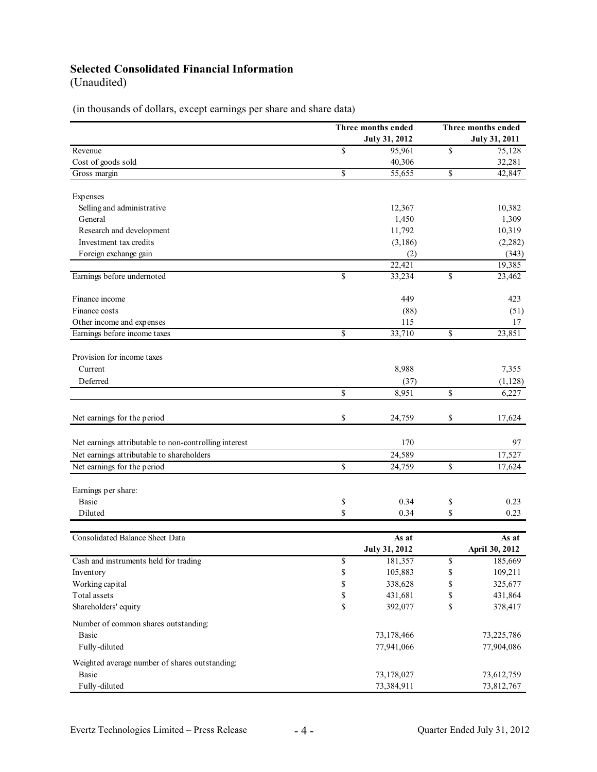# **Selected Consolidated Financial Information**

(Unaudited)

(in thousands of dollars, except earnings per share and share data)

|                                                       |                                             | Three months ended   |    | Three months ended   |  |
|-------------------------------------------------------|---------------------------------------------|----------------------|----|----------------------|--|
|                                                       |                                             | July 31, 2012        |    | <b>July 31, 2011</b> |  |
| Revenue                                               | \$                                          | 95,961               | \$ | 75,128               |  |
| Cost of goods sold                                    |                                             | 40,306               |    | 32,281               |  |
| Gross margin                                          | \$                                          | 55,655               | \$ | 42,847               |  |
| Expenses                                              |                                             |                      |    |                      |  |
| Selling and administrative                            |                                             | 12,367               |    | 10,382               |  |
| General                                               |                                             | 1,450                |    | 1,309                |  |
| Research and development                              |                                             | 11,792               |    | 10,319               |  |
| Investment tax credits                                |                                             | (3,186)              |    | (2, 282)             |  |
| Foreign exchange gain                                 |                                             | (2)                  |    | (343)                |  |
|                                                       |                                             | 22,421               |    | 19,385               |  |
| Earnings before undernoted                            | $\mathbf S$                                 | 33,234               | \$ | 23,462               |  |
| Finance income                                        |                                             | 449                  |    | 423                  |  |
| Finance costs                                         |                                             | (88)                 |    | (51)                 |  |
| Other income and expenses                             |                                             | 115                  |    | 17                   |  |
| Earnings before income taxes                          | \$                                          | 33,710               | \$ | 23,851               |  |
|                                                       |                                             |                      |    |                      |  |
| Provision for income taxes<br>Current                 |                                             | 8,988                |    | 7,355                |  |
| Deferred                                              |                                             |                      |    |                      |  |
|                                                       | $\mathbf S$                                 | (37)                 |    | (1, 128)             |  |
|                                                       |                                             | 8,951                | \$ | 6,227                |  |
| Net earnings for the period                           | \$                                          | 24,759               | \$ | 17,624               |  |
| Net earnings attributable to non-controlling interest |                                             | 170                  |    | 97                   |  |
| Net earnings attributable to shareholders             |                                             | 24,589               |    | 17,527               |  |
| Net earnings for the period                           | \$                                          | 24,759               | \$ | 17,624               |  |
|                                                       |                                             |                      |    |                      |  |
| Earnings per share:                                   |                                             |                      |    |                      |  |
| <b>Basic</b>                                          | \$                                          | 0.34                 | \$ | 0.23                 |  |
| Diluted                                               | \$                                          | 0.34                 | \$ | 0.23                 |  |
| Consolidated Balance Sheet Data                       |                                             | As at                |    | As at                |  |
|                                                       |                                             | <b>July 31, 2012</b> |    | April 30, 2012       |  |
| Cash and instruments held for trading                 | \$                                          | 181,357              | \$ | 185,669              |  |
| Inventory                                             | \$                                          | 105,883              | \$ | 109,211              |  |
| Working capital                                       | $\mathbb{S}$                                | 338,628              | \$ | 325,677              |  |
| Total assets                                          | $\mathbb{S}% _{n}^{X\rightarrow\mathbb{R}}$ | 431,681              | \$ | 431,864              |  |
| Shareholders' equity                                  | \$                                          | 392,077              | \$ | 378,417              |  |
| Number of common shares outstanding:                  |                                             |                      |    |                      |  |
| <b>Basic</b>                                          |                                             | 73,178,466           |    | 73,225,786           |  |
| Fully-diluted                                         |                                             | 77,941,066           |    | 77,904,086           |  |
| Weighted average number of shares outstanding:        |                                             |                      |    |                      |  |
| Basic                                                 |                                             | 73,178,027           |    | 73,612,759           |  |
| Fully-diluted                                         |                                             | 73,384,911           |    | 73,812,767           |  |